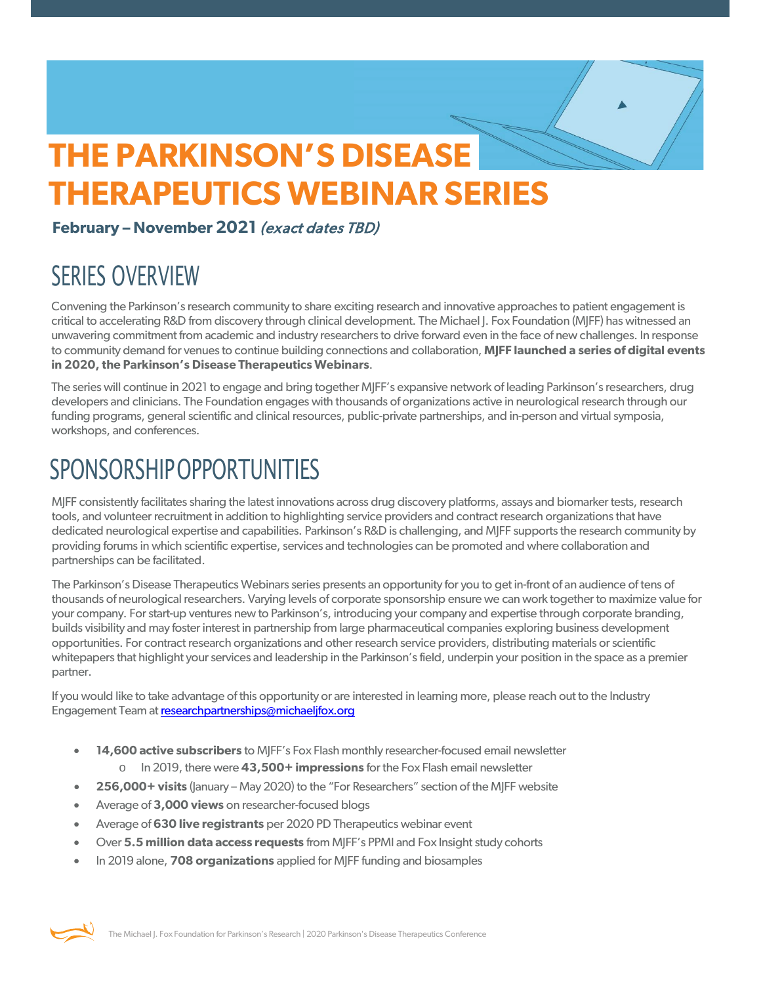# **THE PARKINSON'S DISEASE THERAPEUTICS WEBINAR SERIES**<br>February – November 2021 *(exact dates TBD)*

# SERIES OVERVIEW

Convening the Parkinson's research community to share exciting research and innovative approaches to patient engagement is critical to accelerating R&D from discovery through clinical development. The Michael J. Fox Foundation (MJFF) has witnessed an unwavering commitment from academic and industry researchers to drive forward even in the face of new challenges. In response to community demand for venues to continue building connections and collaboration, **MJFF launched a series of digital events in 2020, the Parkinson's Disease Therapeutics Webinars**.

The series will continue in 2021 to engage and bring together MJFF's expansive network of leading Parkinson's researchers, drug developers and clinicians. The Foundation engages with thousands of organizations active in neurological research through our funding programs, general scientific and clinical resources, public-private partnerships, and in-person and virtual symposia, workshops, and conferences.

# **SPONSORSHIP OPPORTUNITIES**

MJFF consistently facilitates sharing the latest innovations across drug discovery platforms, assays and biomarker tests, research tools, and volunteer recruitment in addition to highlighting service providers and contract research organizations that have dedicated neurological expertise and capabilities. Parkinson's R&D is challenging, and MJFF supports the research community by providing forums in which scientific expertise, services and technologies can be promoted and where collaboration and partnerships can be facilitated.

The Parkinson's Disease Therapeutics Webinars series presents an opportunity for you to get in-front of an audience of tens of thousands of neurological researchers. Varying levels of corporate sponsorship ensure we can work together to maximize value for your company. For start-up ventures new to Parkinson's, introducing your company and expertise through corporate branding, builds visibility and may foster interest in partnership from large pharmaceutical companies exploring business development opportunities. For contract research organizations and other research service providers, distributing materials or scientific whitepapers that highlight your services and leadership in the Parkinson's field, underpin your position in the space as a premier partner.

If you would like to take advantage of this opportunity or are interested in learning more, please reach out to the Industry Engagement Team a[t researchpartnerships@michaeljfox.org](mailto:researchpartnerships@michaeljfox.org)

- **14,600 active subscribers** to MJFF's Fox Flash monthly researcher-focused email newsletter
	- o In 2019, there were **43,500+ impressions** for the Fox Flash email newsletter
- **256,000+ visits** (January May 2020) to the "For Researchers" section of the MJFF website
- Average of **3,000 views** on researcher-focused blogs
- Average of **630 live registrants** per 2020 PD Therapeutics webinar event
- Over **5.5 million data access requests** from MJFF's PPMI and Fox Insight study cohorts
- In 2019 alone, **708 organizations** applied for MJFF funding and biosamples

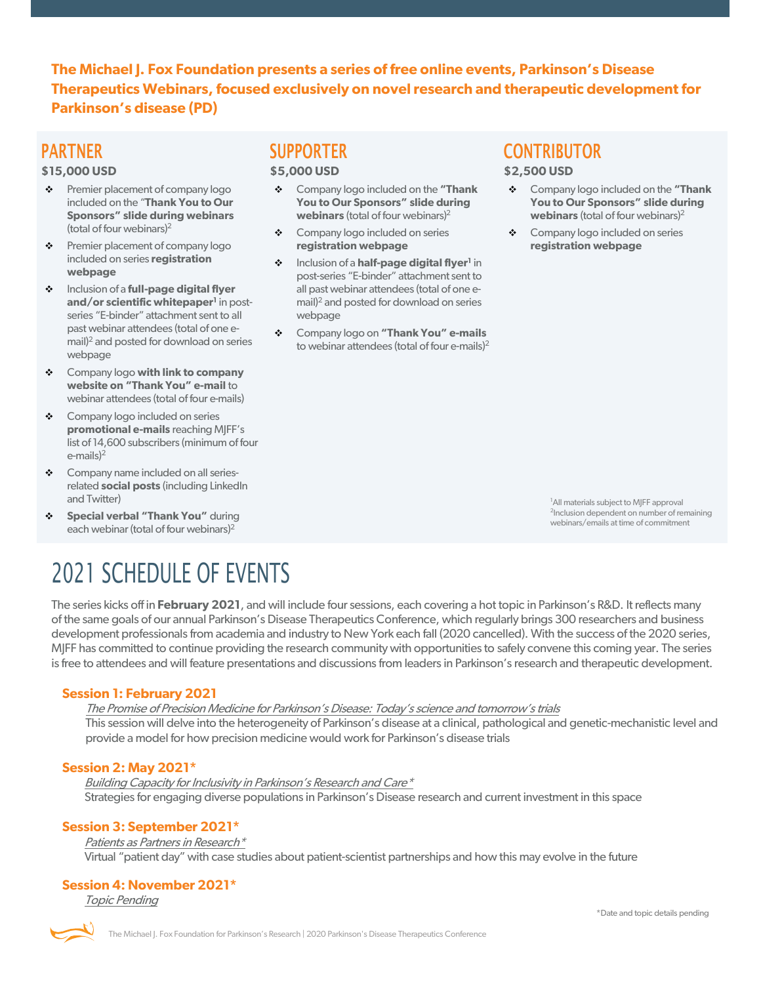**The Michael J. Fox Foundation presents a series of free online events, Parkinson's Disease Therapeutics Webinars, focused exclusively on novel research and therapeutic development for Parkinson's disease (PD)**

### PARTNER

#### **\$15,000 USD**

- Premier placement of company logo included on the "**Thank You to Our Sponsors" slide during webinars** (total of four webinars)2
- Premier placement of company logo included on series **registration webpage**
- Inclusion of a **full-page digital flyer**  and/or scientific whitepaper<sup>1</sup> in postseries "E-binder" attachment sent to all past webinar attendees (total of one email)2 and posted for download on series webpage
- Company logo **with link to company website on "Thank You" e-mail** to webinar attendees (total of four e-mails)
- ◆ Company logo included on series **promotional e-mails** reaching MJFF's list of 14,600 subscribers (minimum of four e-mails) 2
- ◆ Company name included on all seriesrelated **social posts** (including LinkedIn and Twitter)
- **Special verbal "Thank You"** during each webinar (total of four webinars)2

# 2021 SCHEDULE OF EVENTS

The series kicks off in **February 2021**, and will include four sessions, each covering a hot topic in Parkinson's R&D. It reflects many of the same goals of our annual Parkinson's Disease Therapeutics Conference, which regularly brings 300 researchers and business development professionals from academia and industry to New York each fall (2020 cancelled). With the success of the 2020 series, MJFF has committed to continue providing the research community with opportunities to safely convene this coming year. The series is free to attendees and will feature presentations and discussions from leaders in Parkinson's research and therapeutic development.

#### **Session 1: February 2021**

The Promise of Precision Medicine for Parkinson's Disease: Today's science and tomorrow's trials

This session will delve into the heterogeneity of Parkinson's disease at a clinical, pathological and genetic-mechanistic level and provide a model for how precision medicine would work for Parkinson's disease trials

#### **Session 2: May 2021\***

Building Capacity for Inclusivity in Parkinson's Research and Care\* Strategies for engaging diverse populations in Parkinson's Disease research and current investment in this space

#### **Session 3: September 2021\***

Patients as Partners in Research\* Virtual "patient day" with case studies about patient-scientist partnerships and how this may evolve in the future

#### **Session 4: November 2021\***

Topic Pending

### SUPPORTER

#### **\$5,000 USD**

- Company logo included on the **"Thank You to Our Sponsors" slide during webinars** (total of four webinars) 2
- ◆ Company logo included on series **registration webpage**
- $\div$  Inclusion of a **half-page digital flyer**<sup>1</sup> in post-series "E-binder" attachment sent to all past webinar attendees (total of one email)2 and posted for download on series webpage
- Company logo on **"Thank You" e-mails**  to webinar attendees (total of four e-mails) $2$

### **CONTRIBUTOR**

**\$2,500 USD**

- Company logo included on the **"Thank You to Our Sponsors" slide during webinars** (total of four webinars) 2
- ◆ Company logo included on series **registration webpage**

<sup>1</sup>All materials subject to MJFF approval <sup>2</sup>Inclusion dependent on number of remaining webinars/emails at time of commitment